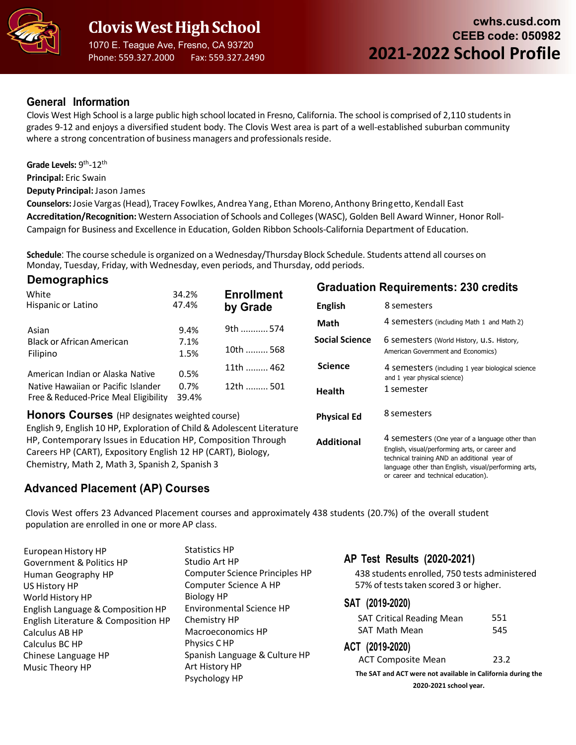

Phone: 559.327.2000 Fax: 559.327.2490

## **General Information**

Clovis West High School is a large public high school located in Fresno, California. The school is comprised of 2,110 studentsin grades 9-12 and enjoys a diversified student body. The Clovis West area is part of a well-established suburban community where a strong concentration of business managers and professionals reside.

Grade Levels: 9<sup>th</sup>-12<sup>th</sup>

**Principal:** Eric Swain

**Demographics**

**Deputy Principal:** Jason James

**Counselors:**Josie Vargas (Head), Tracey Fowlkes, Andrea Yang, Ethan Moreno,Anthony Bringetto, Kendall East **Accreditation/Recognition:** Western Association of Schools and Colleges(WASC), Golden Bell Award Winner, Honor Roll-Campaign for Business and Excellence in Education, Golden Ribbon Schools-California Department of Education.

**Schedule**: The course schedule is organized on a Wednesday/Thursday Block Schedule. Students attend all courses on Monday, Tuesday, Friday, with Wednesday, even periods, and Thursday, odd periods.

| Demographics                                                           |       |                    | <b>Graduation Requirements: 230 credits</b> |                                                                                  |
|------------------------------------------------------------------------|-------|--------------------|---------------------------------------------|----------------------------------------------------------------------------------|
| White                                                                  | 34.2% | <b>Enrollment</b>  |                                             |                                                                                  |
| Hispanic or Latino                                                     | 47.4% | by Grade           | <b>English</b>                              | 8 semesters                                                                      |
|                                                                        |       | 9th  574           | Math                                        | 4 semesters (including Math 1 and Math 2)                                        |
| Asian                                                                  | 9.4%  |                    | <b>Social Science</b>                       |                                                                                  |
| <b>Black or African American</b>                                       | 7.1%  | 10th  568          |                                             | 6 semesters (World History, U.S. History,                                        |
| Filipino                                                               | 1.5%  |                    |                                             | American Government and Economics)                                               |
| American Indian or Alaska Native                                       | 0.5%  | 11th  462          | <b>Science</b>                              | 4 semesters (including 1 year biological science<br>and 1 year physical science) |
| Native Hawaiian or Pacific Islander                                    | 0.7%  | 12th  501          |                                             | 1 semester                                                                       |
| Free & Reduced-Price Meal Eligibility                                  | 39.4% |                    | <b>Health</b>                               |                                                                                  |
| <b>Honors Courses</b> (HP designates weighted course)                  |       | <b>Physical Ed</b> | 8 semesters                                 |                                                                                  |
| English 9, English 10 HP, Exploration of Child & Adolescent Literature |       |                    |                                             |                                                                                  |
| HP, Contemporary Issues in Education HP, Composition Through           |       |                    | <b>Additional</b>                           | 4 semesters (One year of a language other than                                   |
| Careers HP (CART), Expository English 12 HP (CART), Biology,           |       |                    |                                             | English, visual/performing arts, or career and                                   |
| Chemistry, Math 2, Math 3, Spanish 2, Spanish 3                        |       |                    |                                             | technical training AND an additional year of                                     |
|                                                                        |       |                    |                                             | language other than English, visual/performing arts,                             |
|                                                                        |       |                    |                                             | or career and technical education).                                              |

# **Advanced Placement (AP) Courses**

Clovis West offers 23 Advanced Placement courses and approximately 438 students (20.7%) of the overall student population are enrolled in one or more AP class.

European History HP Government & Politics HP Human Geography HP US History HP World History HP English Language & CompositionHP English Literature & Composition HP Calculus AB HP Calculus BC HP Chinese Language HP Music Theory HP

Statistics HP Studio Art HP Computer Science Principles HP Computer Science A HP Biology HP Environmental Science HP Chemistry HP Macroeconomics HP Physics C HP Spanish Language & Culture HP Art History HP Psychology HP

# **AP Test Results (2020-2021)**

438 students enrolled, 750 tests administered 57% of tests taken scored 3 or higher.

### **SAT (2019-2020)**

| <b>SAT Critical Reading Mean</b>                            | 551  |  |  |  |
|-------------------------------------------------------------|------|--|--|--|
| <b>SAT Math Mean</b>                                        | 545  |  |  |  |
| ACT (2019-2020)                                             |      |  |  |  |
| <b>ACT Composite Mean</b>                                   | 23.2 |  |  |  |
| The SAT and ACT were not available in California during the |      |  |  |  |
|                                                             |      |  |  |  |

**2020-2021 school year.**